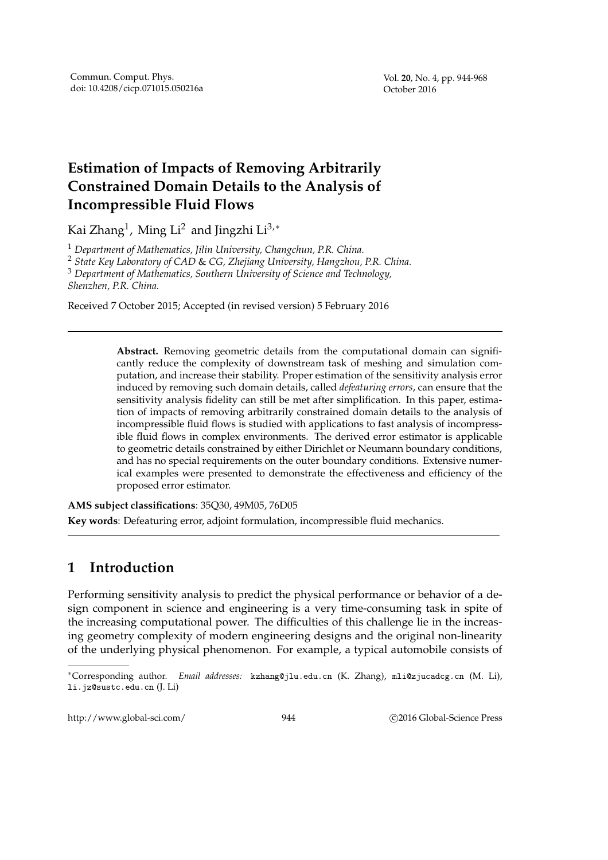## **Estimation of Impacts of Removing Arbitrarily Constrained Domain Details to the Analysis of Incompressible Fluid Flows**

Kai Zhang $^1$ , Ming Li $^2$  and Jingzhi Li $^{3,\ast}$ 

<sup>1</sup> *Department of Mathematics, Jilin University, Changchun, P.R. China.*

<sup>2</sup> *State Key Laboratory of CAD* & *CG, Zhejiang University, Hangzhou, P.R. China.*

<sup>3</sup> *Department of Mathematics, Southern University of Science and Technology,*

*Shenzhen, P.R. China.*

Received 7 October 2015; Accepted (in revised version) 5 February 2016

**Abstract.** Removing geometric details from the computational domain can significantly reduce the complexity of downstream task of meshing and simulation computation, and increase their stability. Proper estimation of the sensitivity analysis error induced by removing such domain details, called *defeaturing errors*, can ensure that the sensitivity analysis fidelity can still be met after simplification. In this paper, estimation of impacts of removing arbitrarily constrained domain details to the analysis of incompressible fluid flows is studied with applications to fast analysis of incompressible fluid flows in complex environments. The derived error estimator is applicable to geometric details constrained by either Dirichlet or Neumann boundary conditions, and has no special requirements on the outer boundary conditions. Extensive numerical examples were presented to demonstrate the effectiveness and efficiency of the proposed error estimator.

**AMS subject classifications**: 35Q30, 49M05, 76D05

**Key words**: Defeaturing error, adjoint formulation, incompressible fluid mechanics.

## **1 Introduction**

Performing sensitivity analysis to predict the physical performance or behavior of a design component in science and engineering is a very time-consuming task in spite of the increasing computational power. The difficulties of this challenge lie in the increasing geometry complexity of modern engineering designs and the original non-linearity of the underlying physical phenomenon. For example, a typical automobile consists of

http://www.global-sci.com/ 944 c 2016 Global-Science Press

<sup>∗</sup>Corresponding author. *Email addresses:* kzhang@jlu.edu.cn (K. Zhang), mli@zjucadcg.cn (M. Li), li.jz@sustc.edu.cn (J. Li)